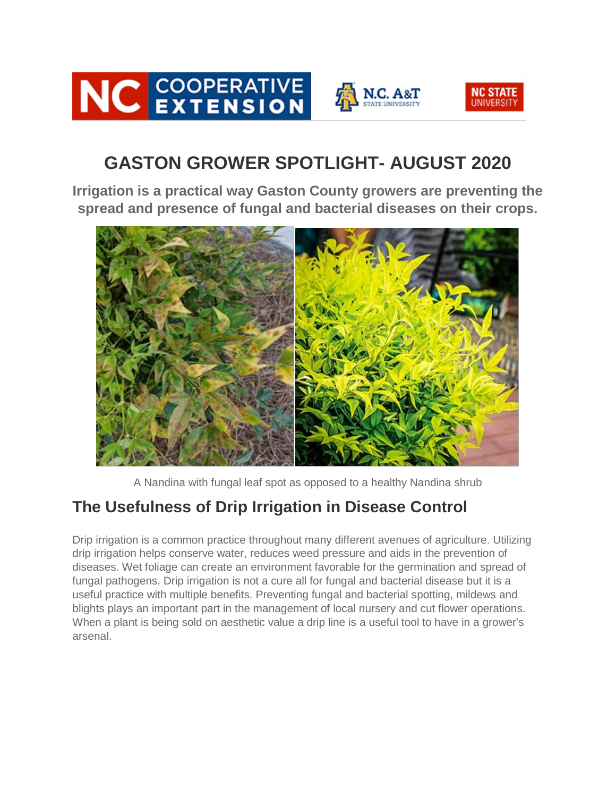



# **GASTON GROWER SPOTLIGHT- AUGUST 2020**

**Irrigation is a practical way Gaston County growers are preventing the spread and presence of fungal and bacterial diseases on their crops.**



A Nandina with fungal leaf spot as opposed to a healthy Nandina shrub

# **The Usefulness of Drip Irrigation in Disease Control**

Drip irrigation is a common practice throughout many different avenues of agriculture. Utilizing drip irrigation helps conserve water, reduces weed pressure and aids in the prevention of diseases. Wet foliage can create an environment favorable for the germination and spread of fungal pathogens. Drip irrigation is not a cure all for fungal and bacterial disease but it is a useful practice with multiple benefits. Preventing fungal and bacterial spotting, mildews and blights plays an important part in the management of local nursery and cut flower operations. When a plant is being sold on aesthetic value a drip line is a useful tool to have in a grower's arsenal.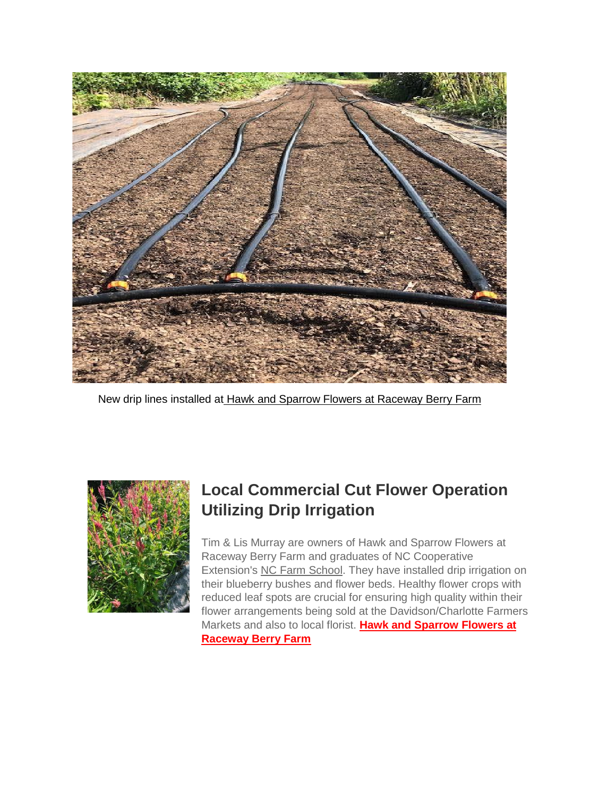

New drip lines installed at [Hawk and Sparrow Flowers at Raceway Berry Farm](https://flowersandberries.com/)



# **Local Commercial Cut Flower Operation Utilizing Drip Irrigation**

Tim & Lis Murray are owners of Hawk and Sparrow Flowers at Raceway Berry Farm and graduates of NC Cooperative Extension's [NC Farm School.](https://ncfarmschool.ces.ncsu.edu/) They have installed drip irrigation on their blueberry bushes and flower beds. Healthy flower crops with reduced leaf spots are crucial for ensuring high quality within their flower arrangements being sold at the Davidson/Charlotte Farmers Markets and also to local florist. **[Hawk and Sparrow Flowers at](https://flowersandberries.com/)  [Raceway Berry Farm](https://flowersandberries.com/)**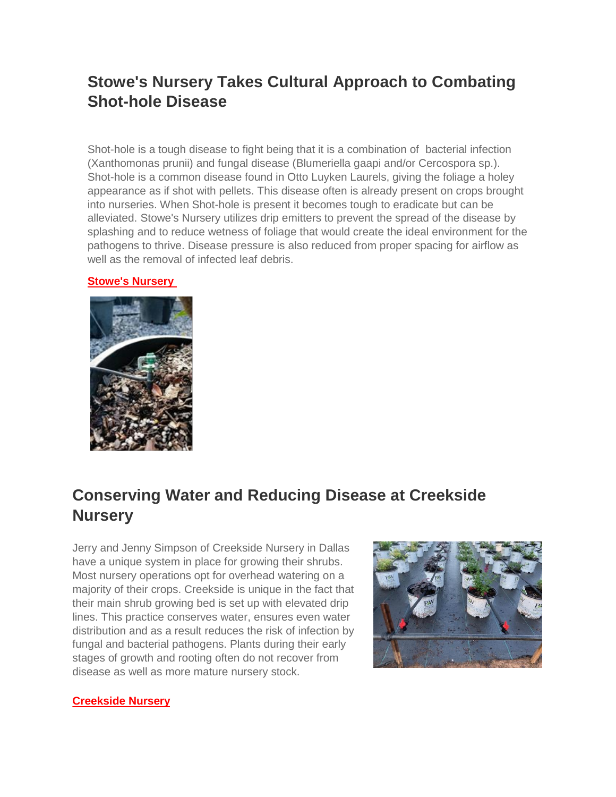### **Stowe's Nursery Takes Cultural Approach to Combating Shot-hole Disease**

Shot-hole is a tough disease to fight being that it is a combination of bacterial infection (Xanthomonas prunii) and fungal disease (Blumeriella gaapi and/or Cercospora sp.). Shot-hole is a common disease found in Otto Luyken Laurels, giving the foliage a holey appearance as if shot with pellets. This disease often is already present on crops brought into nurseries. When Shot-hole is present it becomes tough to eradicate but can be alleviated. Stowe's Nursery utilizes drip emitters to prevent the spread of the disease by splashing and to reduce wetness of foliage that would create the ideal environment for the pathogens to thrive. Disease pressure is also reduced from proper spacing for airflow as well as the removal of infected leaf debris.

### **[Stowe's Nursery](https://www.facebook.com/pages/category/Garden-Center/Stowes-Nursery-124634610890019/)**



# **Conserving Water and Reducing Disease at Creekside Nursery**

Jerry and Jenny Simpson of Creekside Nursery in Dallas have a unique system in place for growing their shrubs. Most nursery operations opt for overhead watering on a majority of their crops. Creekside is unique in the fact that their main shrub growing bed is set up with elevated drip lines. This practice conserves water, ensures even water distribution and as a result reduces the risk of infection by fungal and bacterial pathogens. Plants during their early stages of growth and rooting often do not recover from disease as well as more mature nursery stock.



#### **[Creekside Nursery](https://www.gardeningwithcreekside.com/)**